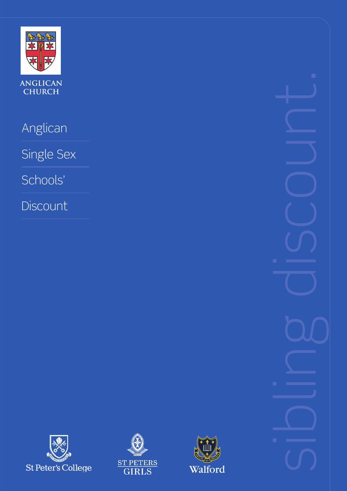

**anglican church**

Anglican

Single Sex

Schools'

**Discount** 

sibling discount.





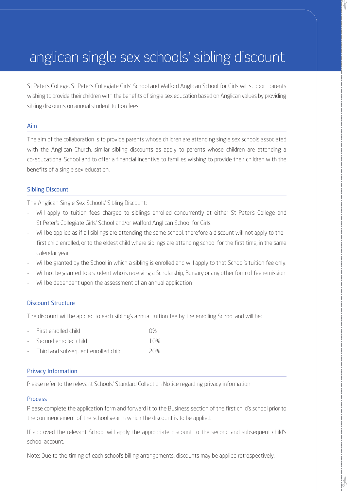# anglican single sex schools' sibling discount

St Peter's College, St Peter's Collegiate Girls' School and Walford Anglican School for Girls will support parents wishing to provide their children with the benefits of single sex education based on Anglican values by providing sibling discounts on annual student tuition fees.

#### Aim

The aim of the collaboration is to provide parents whose children are attending single sex schools associated with the Anglican Church, similar sibling discounts as apply to parents whose children are attending a co-educational School and to offer a financial incentive to families wishing to provide their children with the benefits of a single sex education.

#### Sibling Discount

The Anglican Single Sex Schools' Sibling Discount:

- Will apply to tuition fees charged to siblings enrolled concurrently at either St Peter's College and St Peter's Collegiate Girls' School and/or Walford Anglican School for Girls.
- Will be applied as if all siblings are attending the same school, therefore a discount will not apply to the first child enrolled, or to the eldest child where siblings are attending school for the first time, in the same calendar year.
- Will be granted by the School in which a sibling is enrolled and will apply to that School's tuition fee only.
- Will not be granted to a student who is receiving a Scholarship, Bursary or any other form of fee remission.
- Will be dependent upon the assessment of an annual application

#### Discount Structure

The discount will be applied to each sibling's annual tuition fee by the enrolling School and will be:

| - First enrolled child  | $\Omega%$ |
|-------------------------|-----------|
| - Second enrolled child | 10%       |

Third and subsequent enrolled child 20%

#### Privacy Information

Please refer to the relevant Schools' Standard Collection Notice regarding privacy information.

#### Process

Please complete the application form and forward it to the Business section of the first child's school prior to the commencement of the school year in which the discount is to be applied.

If approved the relevant School will apply the appropriate discount to the second and subsequent child's school account.

Note: Due to the timing of each school's billing arrangements, discounts may be applied retrospectively.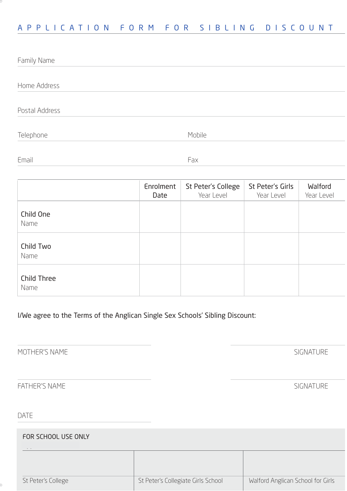### APPLICATION FORM FOR SIBLING DISCOUNT

| Family Name    |                   |                                  |                                |                       |
|----------------|-------------------|----------------------------------|--------------------------------|-----------------------|
| Home Address   |                   |                                  |                                |                       |
| Postal Address |                   |                                  |                                |                       |
| Telephone      |                   | Mobile                           |                                |                       |
| Email          |                   | Fax                              |                                |                       |
|                | Enrolment<br>Date | St Peter's College<br>Year Level | St Peter's Girls<br>Year Level | Walford<br>Year Level |

I/We agree to the Terms of the Anglican Single Sex Schools' Sibling Discount:

MOTHER'S NAME SIGNATURE

Child One Name

Child Two

Child Three

Name

Name

FATHER'S NAME SIGNATURE

### DATE

FOR SCHOOL USE ONLY St Peter's College St Peter's Collegiate Girls School Nalford Anglican School for Girls